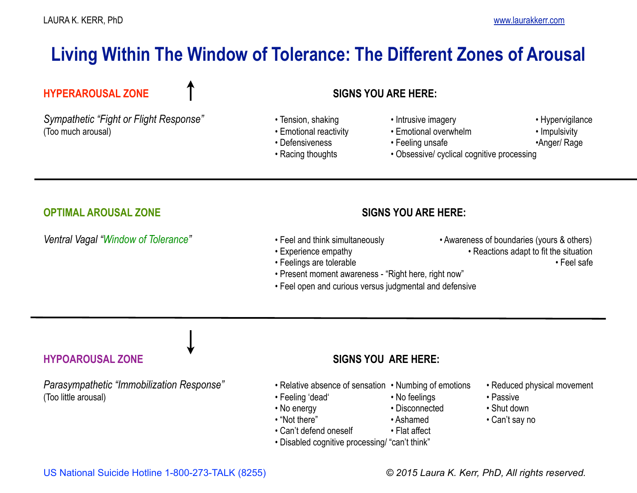# **Living Within The Window of Tolerance: The Different Zones of Arousal**

# **HYPERAROUSAL ZONE SIGNS YOU ARE HERE:**

Sympathetic "Fight or Flight Response" • Tension, shaking • Intrusive imagery • Intrusive imagery • Hypervigilance (Too much arousal) • Emotional reactivity • Emotional overwhelm • Impulsivity

- 
- 
- 
- 
- 
- 
- 
- Defensiveness Feeling unsafe • Terming was hadden Anger/ Rage
	- Racing thoughts Obsessive/ cyclical cognitive processing

# **OPTIMAL AROUSAL ZONE SIGNS YOU ARE HERE:**

### Ventral Vagal "Window of Tolerance" • **Feel and think simultaneously** • Awareness of boundaries (yours & others)

- 
- 
- Feelings are tolerable Feel safe
- Present moment awareness "Right here, right now"
- Feel open and curious versus judgmental and defensive

*Parasympathetic "Immobilization Response"* • Relative absence of sensation • Numbing of emotions • Reduced physical movement (Too little arousal) • Feeling 'dead' • No feelings • Passive

# **HYPOAROUSAL ZONE SIGNS YOU ARE HERE:**

- 
- 
- No energy **•** Disconnected Shut down
	-
	- Can't defend oneself Flat affect
	- Disabled cognitive processing/ "can't think"
- 
- 

- 
- Experience empathy  **Reactions adapt to fit the situation** 
	-

- 
- 
- 
- "Not there" Ashamed Can't say no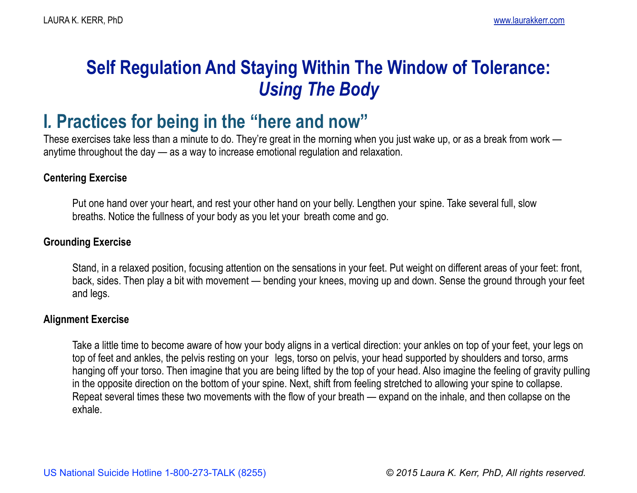# **Self Regulation And Staying Within The Window of Tolerance:**  *Using The Body*

# **I***.* **Practices for being in the "here and now"**

These exercises take less than a minute to do. They're great in the morning when you just wake up, or as a break from work anytime throughout the day — as a way to increase emotional regulation and relaxation.

## **Centering Exercise**

 Put one hand over your heart, and rest your other hand on your belly. Lengthen your spine. Take several full, slow breaths. Notice the fullness of your body as you let your breath come and go.

# **Grounding Exercise**

Stand, in a relaxed position, focusing attention on the sensations in your feet. Put weight on different areas of your feet: front, back, sides. Then play a bit with movement — bending your knees, moving up and down. Sense the ground through your feet and legs.

# **Alignment Exercise**

 Take a little time to become aware of how your body aligns in a vertical direction: your ankles on top of your feet, your legs on top of feet and ankles, the pelvis resting on your legs, torso on pelvis, your head supported by shoulders and torso, arms hanging off your torso. Then imagine that you are being lifted by the top of your head. Also imagine the feeling of gravity pulling in the opposite direction on the bottom of your spine. Next, shift from feeling stretched to allowing your spine to collapse. Repeat several times these two movements with the flow of your breath — expand on the inhale, and then collapse on the exhale.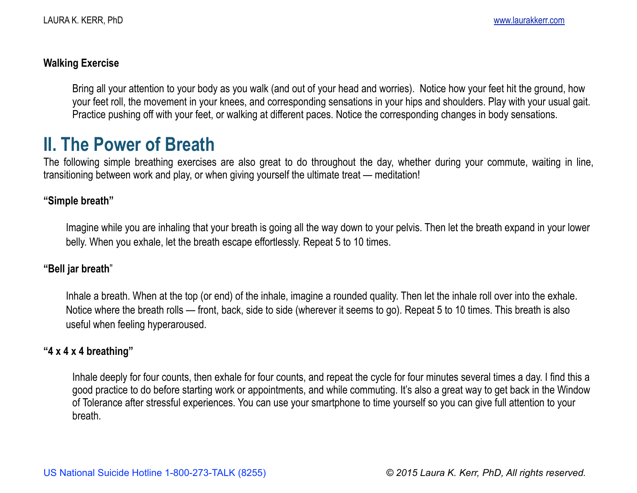### **Walking Exercise**

Bring all your attention to your body as you walk (and out of your head and worries).Notice how your feet hit the ground, how your feet roll, the movement in your knees, and corresponding sensations in your hips and shoulders. Play with your usual gait. Practice pushing off with your feet, or walking at different paces. Notice the corresponding changes in body sensations.

**II. The Power of Breath**<br>The following simple breathing exercises are also great to do throughout the day, whether during your commute, waiting in line, transitioning between work and play, or when giving yourself the ultimate treat — meditation!

### **"Simple breath"**

Imagine while you are inhaling that your breath is going all the way down to your pelvis. Then let the breath expand in your lower belly. When you exhale, let the breath escape effortlessly. Repeat 5 to 10 times.

### **"Bell jar breath**"

 Inhale a breath. When at the top (or end) of the inhale, imagine a rounded quality. Then let the inhale roll over into the exhale. Notice where the breath rolls — front, back, side to side (wherever it seems to go). Repeat 5 to 10 times. This breath is also useful when feeling hyperaroused.

### **"4 x 4 x 4 breathing"**

 Inhale deeply for four counts, then exhale for four counts, and repeat the cycle for four minutes several times a day. I find this a good practice to do before starting work or appointments, and while commuting. It's also a great way to get back in the Window of Tolerance after stressful experiences. You can use your smartphone to time yourself so you can give full attention to your breath.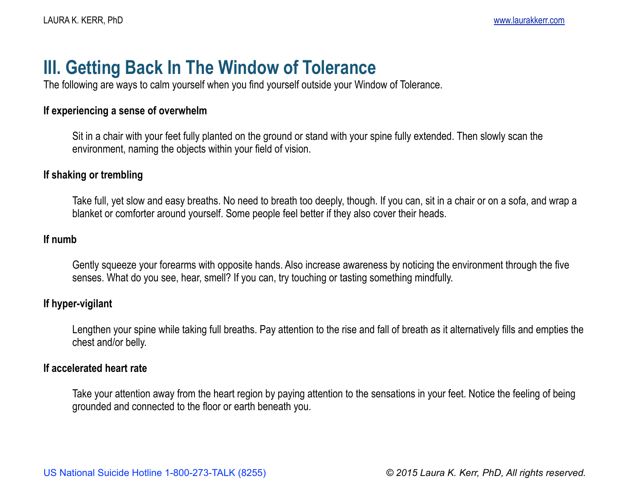# **III. Getting Back In The Window of Tolerance**

The following are ways to calm yourself when you find yourself outside your Window of Tolerance.

### **If experiencing a sense of overwhelm**

 Sit in a chair with your feet fully planted on the ground or stand with your spine fully extended. Then slowly scan the environment, naming the objects within your field of vision.

## **If shaking or trembling**

 Take full, yet slow and easy breaths. No need to breath too deeply, though. If you can, sit in a chair or on a sofa, and wrap a blanket or comforter around yourself. Some people feel better if they also cover their heads.

### **If numb**

Gently squeeze your forearms with opposite hands. Also increase awareness by noticing the environment through the five senses. What do you see, hear, smell? If you can, try touching or tasting something mindfully.

### **If hyper-vigilant**

 Lengthen your spine while taking full breaths. Pay attention to the rise and fall of breath as it alternatively fills and empties the chest and/or belly.

### **If accelerated heart rate**

 Take your attention away from the heart region by paying attention to the sensations in your feet. Notice the feeling of being grounded and connected to the floor or earth beneath you.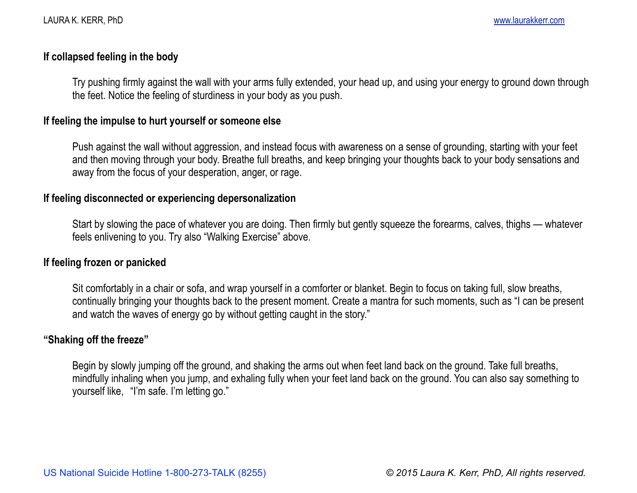### **If collapsed feeling in the body**

Try pushing firmly against the wall with your arms fully extended, your head up, and using your energy to ground down through the feet. Notice the feeling of sturdiness in your body as you push.

### **If feeling the impulse to hurt yourself or someone else**

Push against the wall without aggression, and instead focus with awareness on a sense of grounding, starting with your feet and then moving through your body. Breathe full breaths, and keep bringing your thoughts back to your body sensations and away from the focus of your desperation, anger, or rage.

### **If feeling disconnected or experiencing depersonalization**

 Start by slowing the pace of whatever you are doing. Then firmly but gently squeeze the forearms, calves, thighs — whatever feels enlivening to you. Try also "Walking Exercise" above.

### **If feeling frozen or panicked**

 Sit comfortably in a chair or sofa, and wrap yourself in a comforter or blanket. Begin to focus on taking full, slow breaths, continually bringing your thoughts back to the present moment. Create a mantra for such moments, such as "I can be present and watch the waves of energy go by without getting caught in the story."

## **"Shaking off the freeze"**

Begin by slowly jumping off the ground, and shaking the arms out when feet land back on the ground. Take full breaths, mindfully inhaling when you jump, and exhaling fully when your feet land back on the ground. You can also say something to yourself like, "I'm safe. I'm letting go."